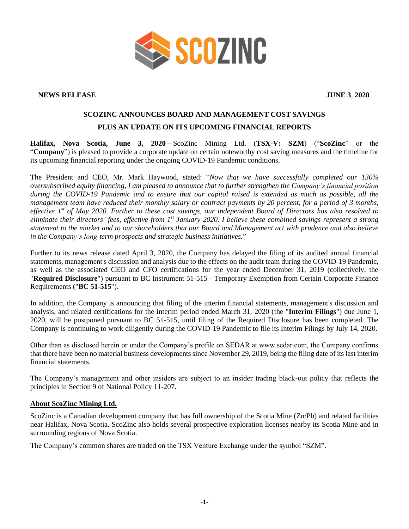

## **NEWS RELEASE JUNE 3**, **2020**

## **SCOZINC ANNOUNCES BOARD AND MANAGEMENT COST SAVINGS PLUS AN UPDATE ON ITS UPCOMING FINANCIAL REPORTS**

**Halifax, Nova Scotia, June 3, 2020 –** ScoZinc Mining Ltd. (**TSX-V: SZM**) ("**ScoZinc**" or the "**Company**") is pleased to provide a corporate update on certain noteworthy cost saving measures and the timeline for its upcoming financial reporting under the ongoing COVID-19 Pandemic conditions.

The President and CEO, Mr. Mark Haywood, stated: "*Now that we have successfully completed our 130% oversubscribed equity financing, I am pleased to announce that to further strengthen the Company's financial position during the COVID-19 Pandemic and to ensure that our capital raised is extended as much as possible, all the management team have reduced their monthly salary or contract payments by 20 percent, for a period of 3 months, effective 1st of May 2020. Further to these cost savings, our independent Board of Directors has also resolved to eliminate their directors' fees, effective from 1 st January 2020. I believe these combined savings represent a strong statement to the market and to our shareholders that our Board and Management act with prudence and also believe in the Company's long-term prospects and strategic business initiatives.*"

Further to its news release dated April 3, 2020, the Company has delayed the filing of its audited annual financial statements, management's discussion and analysis due to the effects on the audit team during the COVID-19 Pandemic, as well as the associated CEO and CFO certifications for the year ended December 31, 2019 (collectively, the "**Required Disclosure**") pursuant to BC Instrument 51-515 - Temporary Exemption from Certain Corporate Finance Requirements ("**BC 51-515**").

In addition, the Company is announcing that filing of the interim financial statements, management's discussion and analysis, and related certifications for the interim period ended March 31, 2020 (the "**Interim Filings**") due June 1, 2020, will be postponed pursuant to BC 51-515, until filing of the Required Disclosure has been completed. The Company is continuing to work diligently during the COVID-19 Pandemic to file its Interim Filings by July 14, 2020.

Other than as disclosed herein or under the Company's profile on SEDAR at www.sedar.com, the Company confirms that there have been no material business developments since November 29, 2019, being the filing date of its last interim financial statements.

The Company's management and other insiders are subject to an insider trading black-out policy that reflects the principles in Section 9 of National Policy 11-207.

## **About ScoZinc Mining Ltd.**

ScoZinc is a Canadian development company that has full ownership of the Scotia Mine (Zn/Pb) and related facilities near Halifax, Nova Scotia. ScoZinc also holds several prospective exploration licenses nearby its Scotia Mine and in surrounding regions of Nova Scotia.

The Company's common shares are traded on the TSX Venture Exchange under the symbol "SZM".